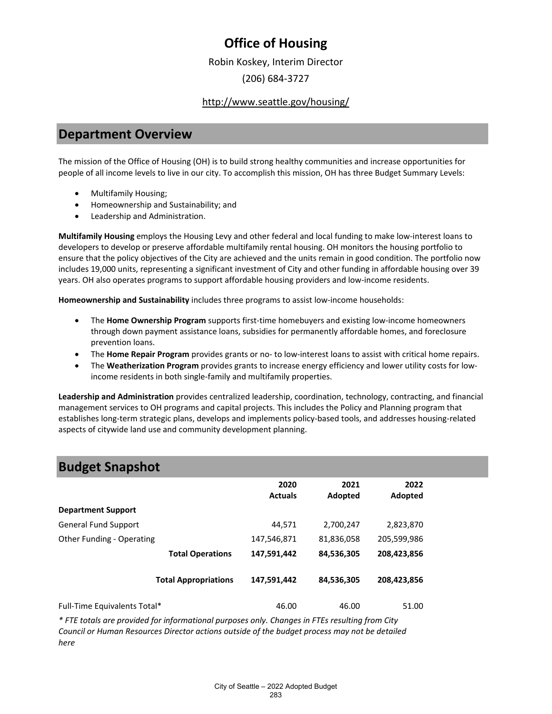Robin Koskey, Interim Director

(206) 684-3727

### <http://www.seattle.gov/housing/>

### **Department Overview**

The mission of the Office of Housing (OH) is to build strong healthy communities and increase opportunities for people of all income levels to live in our city. To accomplish this mission, OH has three Budget Summary Levels:

- Multifamily Housing;
- Homeownership and Sustainability; and
- Leadership and Administration.

**Multifamily Housing** employs the Housing Levy and other federal and local funding to make low-interest loans to developers to develop or preserve affordable multifamily rental housing. OH monitors the housing portfolio to ensure that the policy objectives of the City are achieved and the units remain in good condition. The portfolio now includes 19,000 units, representing a significant investment of City and other funding in affordable housing over 39 years. OH also operates programs to support affordable housing providers and low-income residents.

**Homeownership and Sustainability** includes three programs to assist low-income households:

- The **Home Ownership Program** supports first-time homebuyers and existing low-income homeowners through down payment assistance loans, subsidies for permanently affordable homes, and foreclosure prevention loans.
- The **Home Repair Program** provides grants or no- to low-interest loans to assist with critical home repairs.
- The **Weatherization Program** provides grants to increase energy efficiency and lower utility costs for lowincome residents in both single-family and multifamily properties.

**Leadership and Administration** provides centralized leadership, coordination, technology, contracting, and financial management services to OH programs and capital projects. This includes the Policy and Planning program that establishes long-term strategic plans, develops and implements policy-based tools, and addresses housing-related aspects of citywide land use and community development planning.

| .                            |                             |                        |                 |                 |  |
|------------------------------|-----------------------------|------------------------|-----------------|-----------------|--|
|                              |                             | 2020<br><b>Actuals</b> | 2021<br>Adopted | 2022<br>Adopted |  |
| <b>Department Support</b>    |                             |                        |                 |                 |  |
| <b>General Fund Support</b>  |                             | 44,571                 | 2,700,247       | 2,823,870       |  |
| Other Funding - Operating    |                             | 147,546,871            | 81,836,058      | 205,599,986     |  |
|                              | <b>Total Operations</b>     | 147,591,442            | 84,536,305      | 208,423,856     |  |
|                              | <b>Total Appropriations</b> | 147,591,442            | 84,536,305      | 208,423,856     |  |
| Full-Time Equivalents Total* |                             | 46.00                  | 46.00           | 51.00           |  |

*\* FTE totals are provided for informational purposes only. Changes in FTEs resulting from City Council or Human Resources Director actions outside of the budget process may not be detailed here*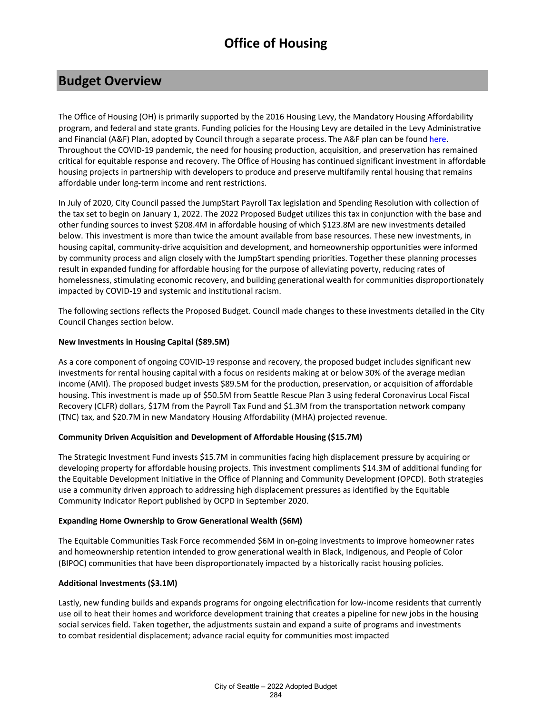### **Budget Overview**

The Office of Housing (OH) is primarily supported by the 2016 Housing Levy, the Mandatory Housing Affordability program, and federal and state grants. Funding policies for the Housing Levy are detailed in the Levy Administrative and Financial (A&F) Plan, adopted by Council through a separate process. The A&F plan can be foun[d here.](https://www.seattle.gov/Documents/Departments/Housing/Footer%20Pages/Data%20and%20Reports/2019-2020%20Administrative%20and%20Financial%20Plan.pdf) Throughout the COVID-19 pandemic, the need for housing production, acquisition, and preservation has remained critical for equitable response and recovery. The Office of Housing has continued significant investment in affordable housing projects in partnership with developers to produce and preserve multifamily rental housing that remains affordable under long-term income and rent restrictions.

In July of 2020, City Council passed the JumpStart Payroll Tax legislation and Spending Resolution with collection of the tax set to begin on January 1, 2022. The 2022 Proposed Budget utilizes this tax in conjunction with the base and other funding sources to invest \$208.4M in affordable housing of which \$123.8M are new investments detailed below. This investment is more than twice the amount available from base resources. These new investments, in housing capital, community-drive acquisition and development, and homeownership opportunities were informed by community process and align closely with the JumpStart spending priorities. Together these planning processes result in expanded funding for affordable housing for the purpose of alleviating poverty, reducing rates of homelessness, stimulating economic recovery, and building generational wealth for communities disproportionately impacted by COVID-19 and systemic and institutional racism.

The following sections reflects the Proposed Budget. Council made changes to these investments detailed in the City Council Changes section below.

### **New Investments in Housing Capital (\$89.5M)**

As a core component of ongoing COVID-19 response and recovery, the proposed budget includes significant new investments for rental housing capital with a focus on residents making at or below 30% of the average median income (AMI). The proposed budget invests \$89.5M for the production, preservation, or acquisition of affordable housing. This investment is made up of \$50.5M from Seattle Rescue Plan 3 using federal Coronavirus Local Fiscal Recovery (CLFR) dollars, \$17M from the Payroll Tax Fund and \$1.3M from the transportation network company (TNC) tax, and \$20.7M in new Mandatory Housing Affordability (MHA) projected revenue. 

### **Community Driven Acquisition and Development of Affordable Housing (\$15.7M)**

The Strategic Investment Fund invests \$15.7M in communities facing high displacement pressure by acquiring or developing property for affordable housing projects. This investment compliments \$14.3M of additional funding for the Equitable Development Initiative in the Office of Planning and Community Development (OPCD). Both strategies use a community driven approach to addressing high displacement pressures as identified by the Equitable Community Indicator Report published by OCPD in September 2020.

### **Expanding Home Ownership to Grow Generational Wealth (\$6M)**

The Equitable Communities Task Force recommended \$6M in on-going investments to improve homeowner rates and homeownership retention intended to grow generational wealth in Black, Indigenous, and People of Color (BIPOC) communities that have been disproportionately impacted by a historically racist housing policies.

### **Additional Investments (\$3.1M)**

Lastly, new funding builds and expands programs for ongoing electrification for low-income residents that currently use oil to heat their homes and workforce development training that creates a pipeline for new jobs in the housing social services field. Taken together, the adjustments sustain and expand a suite of programs and investments to combat residential displacement; advance racial equity for communities most impacted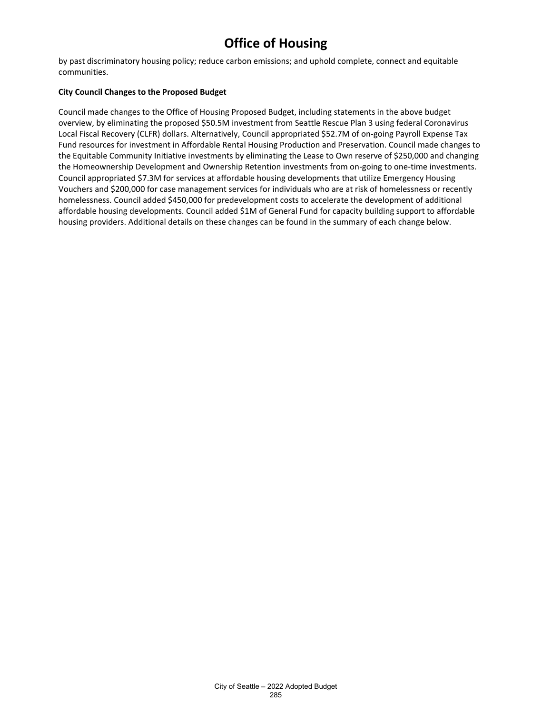by past discriminatory housing policy; reduce carbon emissions; and uphold complete, connect and equitable communities.

#### **City Council Changes to the Proposed Budget**

Council made changes to the Office of Housing Proposed Budget, including statements in the above budget overview, by eliminating the proposed \$50.5M investment from Seattle Rescue Plan 3 using federal Coronavirus Local Fiscal Recovery (CLFR) dollars. Alternatively, Council appropriated \$52.7M of on-going Payroll Expense Tax Fund resources for investment in Affordable Rental Housing Production and Preservation. Council made changes to the Equitable Community Initiative investments by eliminating the Lease to Own reserve of \$250,000 and changing the Homeownership Development and Ownership Retention investments from on-going to one-time investments. Council appropriated \$7.3M for services at affordable housing developments that utilize Emergency Housing Vouchers and \$200,000 for case management services for individuals who are at risk of homelessness or recently homelessness. Council added \$450,000 for predevelopment costs to accelerate the development of additional affordable housing developments. Council added \$1M of General Fund for capacity building support to affordable housing providers. Additional details on these changes can be found in the summary of each change below.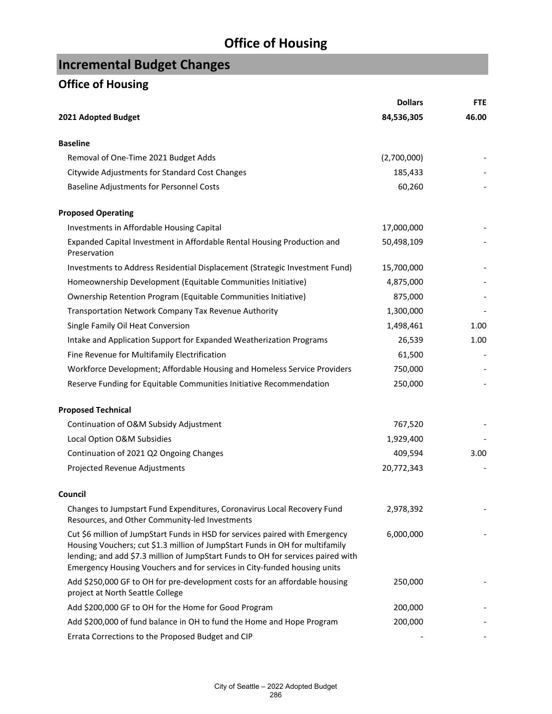# **Incremental Budget Changes**

|                                                                                                                                                                                                                                                                                                                              | <b>Dollars</b> | <b>FTE</b> |
|------------------------------------------------------------------------------------------------------------------------------------------------------------------------------------------------------------------------------------------------------------------------------------------------------------------------------|----------------|------------|
| 2021 Adopted Budget                                                                                                                                                                                                                                                                                                          | 84,536,305     | 46.00      |
| <b>Baseline</b>                                                                                                                                                                                                                                                                                                              |                |            |
| Removal of One-Time 2021 Budget Adds                                                                                                                                                                                                                                                                                         | (2,700,000)    |            |
| Citywide Adjustments for Standard Cost Changes                                                                                                                                                                                                                                                                               | 185,433        |            |
| Baseline Adjustments for Personnel Costs                                                                                                                                                                                                                                                                                     | 60,260         |            |
| <b>Proposed Operating</b>                                                                                                                                                                                                                                                                                                    |                |            |
| Investments in Affordable Housing Capital                                                                                                                                                                                                                                                                                    | 17,000,000     |            |
| Expanded Capital Investment in Affordable Rental Housing Production and<br>Preservation                                                                                                                                                                                                                                      | 50,498,109     |            |
| Investments to Address Residential Displacement (Strategic Investment Fund)                                                                                                                                                                                                                                                  | 15,700,000     |            |
| Homeownership Development (Equitable Communities Initiative)                                                                                                                                                                                                                                                                 | 4,875,000      |            |
| Ownership Retention Program (Equitable Communities Initiative)                                                                                                                                                                                                                                                               | 875,000        |            |
| Transportation Network Company Tax Revenue Authority                                                                                                                                                                                                                                                                         | 1,300,000      |            |
| Single Family Oil Heat Conversion                                                                                                                                                                                                                                                                                            | 1,498,461      | 1.00       |
| Intake and Application Support for Expanded Weatherization Programs                                                                                                                                                                                                                                                          | 26,539         | 1.00       |
| Fine Revenue for Multifamily Electrification                                                                                                                                                                                                                                                                                 | 61,500         |            |
| Workforce Development; Affordable Housing and Homeless Service Providers                                                                                                                                                                                                                                                     | 750,000        |            |
| Reserve Funding for Equitable Communities Initiative Recommendation                                                                                                                                                                                                                                                          | 250,000        |            |
| <b>Proposed Technical</b>                                                                                                                                                                                                                                                                                                    |                |            |
| Continuation of O&M Subsidy Adjustment                                                                                                                                                                                                                                                                                       | 767,520        |            |
| Local Option O&M Subsidies                                                                                                                                                                                                                                                                                                   | 1,929,400      |            |
| Continuation of 2021 Q2 Ongoing Changes                                                                                                                                                                                                                                                                                      | 409,594        | 3.00       |
| Projected Revenue Adjustments                                                                                                                                                                                                                                                                                                | 20,772,343     |            |
| Council                                                                                                                                                                                                                                                                                                                      |                |            |
| Changes to Jumpstart Fund Expenditures, Coronavirus Local Recovery Fund<br>Resources, and Other Community-led Investments                                                                                                                                                                                                    | 2,978,392      |            |
| Cut \$6 million of JumpStart Funds in HSD for services paired with Emergency<br>Housing Vouchers; cut \$1.3 million of JumpStart Funds in OH for multifamily<br>lending; and add \$7.3 million of JumpStart Funds to OH for services paired with<br>Emergency Housing Vouchers and for services in City-funded housing units | 6,000,000      |            |
| Add \$250,000 GF to OH for pre-development costs for an affordable housing<br>project at North Seattle College                                                                                                                                                                                                               | 250,000        |            |
| Add \$200,000 GF to OH for the Home for Good Program                                                                                                                                                                                                                                                                         | 200,000        |            |
| Add \$200,000 of fund balance in OH to fund the Home and Hope Program                                                                                                                                                                                                                                                        | 200,000        |            |
| Errata Corrections to the Proposed Budget and CIP                                                                                                                                                                                                                                                                            |                |            |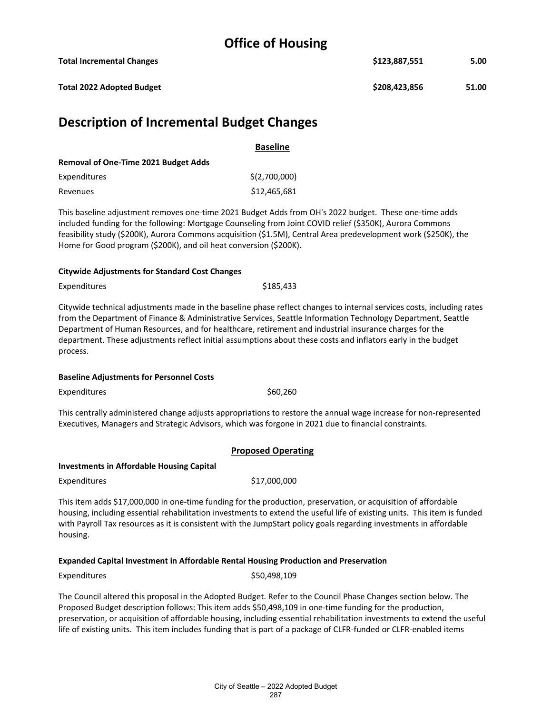| <b>Description of Incremental Budget Changes</b> |               |       |
|--------------------------------------------------|---------------|-------|
| <b>Total 2022 Adopted Budget</b>                 | \$208,423,856 | 51.00 |
| <b>Total Incremental Changes</b>                 | \$123,887,551 | 5.00  |

|                                             | <b>Baseline</b> |
|---------------------------------------------|-----------------|
| <b>Removal of One-Time 2021 Budget Adds</b> |                 |
| Expenditures                                | \$(2,700,000)   |
| Revenues                                    | \$12,465,681    |

This baseline adjustment removes one-time 2021 Budget Adds from OH's 2022 budget. These one-time adds included funding for the following: Mortgage Counseling from Joint COVID relief (\$350K), Aurora Commons feasibility study (\$200K), Aurora Commons acquisition (\$1.5M), Central Area predevelopment work (\$250K), the Home for Good program (\$200K), and oil heat conversion (\$200K).

#### **Citywide Adjustments for Standard Cost Changes**

Expenditures \$185,433

Citywide technical adjustments made in the baseline phase reflect changes to internal services costs, including rates from the Department of Finance & Administrative Services, Seattle Information Technology Department, Seattle Department of Human Resources, and for healthcare, retirement and industrial insurance charges for the department. These adjustments reflect initial assumptions about these costs and inflators early in the budget process.

### **Baseline Adjustments for Personnel Costs**

Expenditures \$60,260

This centrally administered change adjusts appropriations to restore the annual wage increase for non-represented Executives, Managers and Strategic Advisors, which was forgone in 2021 due to financial constraints.

### **Proposed Operating**

### **Investments in Affordable Housing Capital**

Expenditures \$17,000,000

This item adds \$17,000,000 in one-time funding for the production, preservation, or acquisition of affordable housing, including essential rehabilitation investments to extend the useful life of existing units. This item is funded with Payroll Tax resources as it is consistent with the JumpStart policy goals regarding investments in affordable housing.

### **Expanded Capital Investment in Affordable Rental Housing Production and Preservation**

Expenditures \$50,498,109

The Council altered this proposal in the Adopted Budget. Refer to the Council Phase Changes section below. The Proposed Budget description follows: This item adds \$50,498,109 in one-time funding for the production, preservation, or acquisition of affordable housing, including essential rehabilitation investments to extend the useful life of existing units. This item includes funding that is part of a package of CLFR-funded or CLFR-enabled items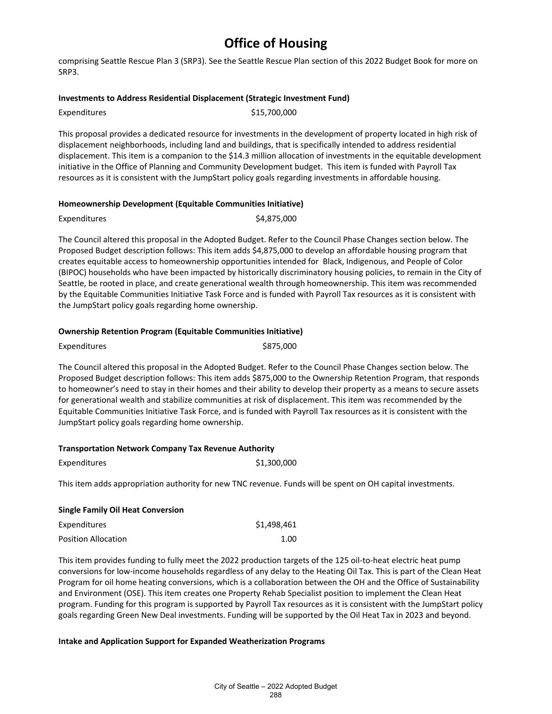comprising Seattle Rescue Plan 3 (SRP3). See the Seattle Rescue Plan section of this 2022 Budget Book for more on SRP3.

#### **Investments to Address Residential Displacement (Strategic Investment Fund)**

| Expenditures | \$15,700,000 |
|--------------|--------------|
|              |              |

This proposal provides a dedicated resource for investments in the development of property located in high risk of displacement neighborhoods, including land and buildings, that is specifically intended to address residential displacement. This item is a companion to the \$14.3 million allocation of investments in the equitable development initiative in the Office of Planning and Community Development budget. This item is funded with Payroll Tax resources as it is consistent with the JumpStart policy goals regarding investments in affordable housing.

#### **Homeownership Development (Equitable Communities Initiative)**

| Expenditures | \$4,875,000 |
|--------------|-------------|
|              |             |

The Council altered this proposal in the Adopted Budget. Refer to the Council Phase Changes section below. The Proposed Budget description follows: This item adds \$4,875,000 to develop an affordable housing program that creates equitable access to homeownership opportunities intended for Black, Indigenous, and People of Color (BIPOC) households who have been impacted by historically discriminatory housing policies, to remain in the City of Seattle, be rooted in place, and create generational wealth through homeownership. This item was recommended by the Equitable Communities Initiative Task Force and is funded with Payroll Tax resources as it is consistent with the JumpStart policy goals regarding home ownership.

#### **Ownership Retention Program (Equitable Communities Initiative)**

| Expenditures | \$875,000 |
|--------------|-----------|
|--------------|-----------|

The Council altered this proposal in the Adopted Budget. Refer to the Council Phase Changes section below. The Proposed Budget description follows: This item adds \$875,000 to the Ownership Retention Program, that responds to homeowner's need to stay in their homes and their ability to develop their property as a means to secure assets for generational wealth and stabilize communities at risk of displacement. This item was recommended by the Equitable Communities Initiative Task Force, and is funded with Payroll Tax resources as it is consistent with the JumpStart policy goals regarding home ownership.

#### **Transportation Network Company Tax Revenue Authority**

| Expenditures | \$1,300,000 |
|--------------|-------------|
|--------------|-------------|

This item adds appropriation authority for new TNC revenue. Funds will be spent on OH capital investments.

| <b>Single Family Oil Heat Conversion</b> |             |  |
|------------------------------------------|-------------|--|
| Expenditures                             | \$1,498,461 |  |
| <b>Position Allocation</b>               | 1.00        |  |

This item provides funding to fully meet the 2022 production targets of the 125 oil-to-heat electric heat pump conversions for low-income households regardless of any delay to the Heating Oil Tax. This is part of the Clean Heat Program for oil home heating conversions, which is a collaboration between the OH and the Office of Sustainability and Environment (OSE). This item creates one Property Rehab Specialist position to implement the Clean Heat program. Funding for this program is supported by Payroll Tax resources as it is consistent with the JumpStart policy goals regarding Green New Deal investments. Funding will be supported by the Oil Heat Tax in 2023 and beyond.

#### **Intake and Application Support for Expanded Weatherization Programs**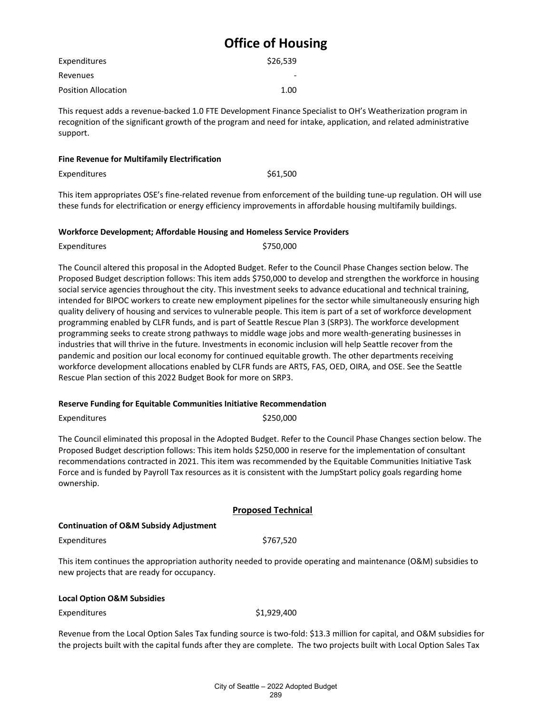| Expenditures               | \$26,539 |
|----------------------------|----------|
| Revenues                   |          |
| <b>Position Allocation</b> | 1.00     |

This request adds a revenue-backed 1.0 FTE Development Finance Specialist to OH's Weatherization program in recognition of the significant growth of the program and need for intake, application, and related administrative support.

#### **Fine Revenue for Multifamily Electrification**

Expenditures \$61,500

This item appropriates OSE's fine-related revenue from enforcement of the building tune-up regulation. OH will use these funds for electrification or energy efficiency improvements in affordable housing multifamily buildings.

#### **Workforce Development; Affordable Housing and Homeless Service Providers**

| Expenditures | \$750,000 |
|--------------|-----------|
|              |           |

The Council altered this proposal in the Adopted Budget. Refer to the Council Phase Changes section below. The Proposed Budget description follows: This item adds \$750,000 to develop and strengthen the workforce in housing social service agencies throughout the city. This investment seeks to advance educational and technical training, intended for BIPOC workers to create new employment pipelines for the sector while simultaneously ensuring high quality delivery of housing and services to vulnerable people. This item is part of a set of workforce development programming enabled by CLFR funds, and is part of Seattle Rescue Plan 3 (SRP3). The workforce development programming seeks to create strong pathways to middle wage jobs and more wealth-generating businesses in industries that will thrive in the future. Investments in economic inclusion will help Seattle recover from the pandemic and position our local economy for continued equitable growth. The other departments receiving workforce development allocations enabled by CLFR funds are ARTS, FAS, OED, OIRA, and OSE. See the Seattle Rescue Plan section of this 2022 Budget Book for more on SRP3.

### **Reserve Funding for Equitable Communities Initiative Recommendation**

Expenditures \$250,000

The Council eliminated this proposal in the Adopted Budget. Refer to the Council Phase Changes section below. The Proposed Budget description follows: This item holds \$250,000 in reserve for the implementation of consultant recommendations contracted in 2021. This item was recommended by the Equitable Communities Initiative Task Force and is funded by Payroll Tax resources as it is consistent with the JumpStart policy goals regarding home ownership.

### **Proposed Technical**

### **Continuation of O&M Subsidy Adjustment**

Expenditures \$767,520

This item continues the appropriation authority needed to provide operating and maintenance (O&M) subsidies to new projects that are ready for occupancy.

### **Local Option O&M Subsidies**

Expenditures \$1,929,400

Revenue from the Local Option Sales Tax funding source is two-fold: \$13.3 million for capital, and O&M subsidies for the projects built with the capital funds after they are complete. The two projects built with Local Option Sales Tax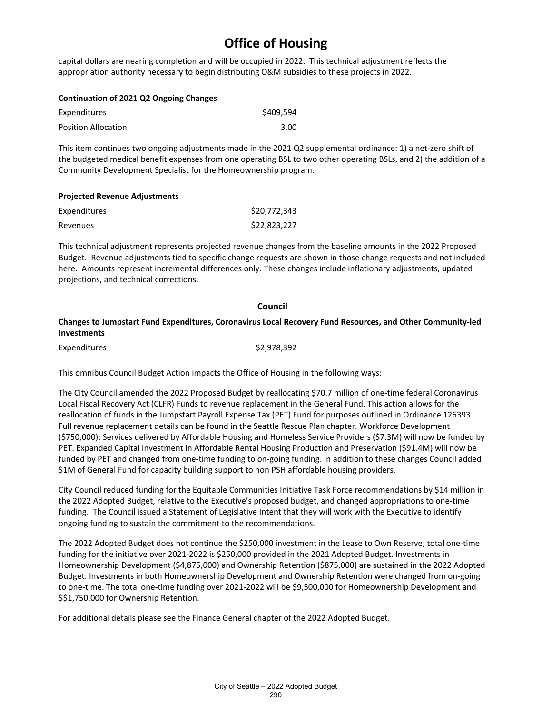capital dollars are nearing completion and will be occupied in 2022. This technical adjustment reflects the appropriation authority necessary to begin distributing O&M subsidies to these projects in 2022.

| Expenditures               | \$409.594 |
|----------------------------|-----------|
| <b>Position Allocation</b> | 3.00      |

This item continues two ongoing adjustments made in the 2021 Q2 supplemental ordinance: 1) a net-zero shift of the budgeted medical benefit expenses from one operating BSL to two other operating BSLs, and 2) the addition of a Community Development Specialist for the Homeownership program.

### **Projected Revenue Adjustments**

| Expenditures | \$20,772,343 |
|--------------|--------------|
| Revenues     | \$22,823,227 |

This technical adjustment represents projected revenue changes from the baseline amounts in the 2022 Proposed Budget. Revenue adjustments tied to specific change requests are shown in those change requests and not included here. Amounts represent incremental differences only. These changes include inflationary adjustments, updated projections, and technical corrections.

#### **Council**

### **Changes to Jumpstart Fund Expenditures, Coronavirus Local Recovery Fund Resources, and Other Community-led Investments**

Expenditures \$2,978,392

This omnibus Council Budget Action impacts the Office of Housing in the following ways:

The City Council amended the 2022 Proposed Budget by reallocating \$70.7 million of one-time federal Coronavirus Local Fiscal Recovery Act (CLFR) Funds to revenue replacement in the General Fund. This action allows for the reallocation of funds in the Jumpstart Payroll Expense Tax (PET) Fund for purposes outlined in Ordinance 126393. Full revenue replacement details can be found in the Seattle Rescue Plan chapter. Workforce Development (\$750,000); Services delivered by Affordable Housing and Homeless Service Providers (\$7.3M) will now be funded by PET. Expanded Capital Investment in Affordable Rental Housing Production and Preservation (\$91.4M) will now be funded by PET and changed from one-time funding to on-going funding. In addition to these changes Council added \$1M of General Fund for capacity building support to non PSH affordable housing providers.

City Council reduced funding for the Equitable Communities Initiative Task Force recommendations by \$14 million in the 2022 Adopted Budget, relative to the Executive's proposed budget, and changed appropriations to one-time funding.  The Council issued a Statement of Legislative Intent that they will work with the Executive to identify ongoing funding to sustain the commitment to the recommendations. 

The 2022 Adopted Budget does not continue the \$250,000 investment in the Lease to Own Reserve; total one-time funding for the initiative over 2021-2022 is \$250,000 provided in the 2021 Adopted Budget. Investments in Homeownership Development (\$4,875,000) and Ownership Retention (\$875,000) are sustained in the 2022 Adopted Budget. Investments in both Homeownership Development and Ownership Retention were changed from on-going to one-time. The total one-time funding over 2021-2022 will be \$9,500,000 for Homeownership Development and \$\$1,750,000 for Ownership Retention.

For additional details please see the Finance General chapter of the 2022 Adopted Budget.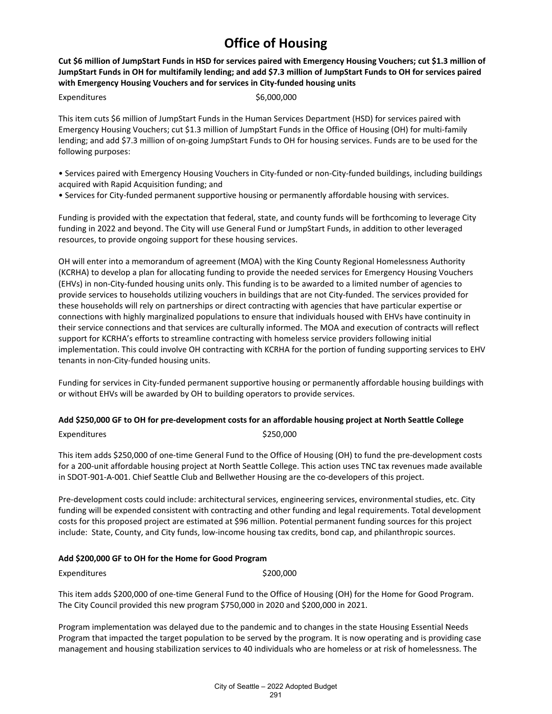**Cut \$6 million of JumpStart Funds in HSD for services paired with Emergency Housing Vouchers; cut \$1.3 million of JumpStart Funds in OH for multifamily lending; and add \$7.3 million of JumpStart Funds to OH for services paired with Emergency Housing Vouchers and for services in City-funded housing units**

Expenditures \$6,000,000

This item cuts \$6 million of JumpStart Funds in the Human Services Department (HSD) for services paired with Emergency Housing Vouchers; cut \$1.3 million of JumpStart Funds in the Office of Housing (OH) for multi-family lending; and add \$7.3 million of on-going JumpStart Funds to OH for housing services. Funds are to be used for the following purposes:

• Services paired with Emergency Housing Vouchers in City-funded or non-City-funded buildings, including buildings acquired with Rapid Acquisition funding; and

• Services for City-funded permanent supportive housing or permanently affordable housing with services.

Funding is provided with the expectation that federal, state, and county funds will be forthcoming to leverage City funding in 2022 and beyond. The City will use General Fund or JumpStart Funds, in addition to other leveraged resources, to provide ongoing support for these housing services.

OH will enter into a memorandum of agreement (MOA) with the King County Regional Homelessness Authority (KCRHA) to develop a plan for allocating funding to provide the needed services for Emergency Housing Vouchers (EHVs) in non-City-funded housing units only. This funding is to be awarded to a limited number of agencies to provide services to households utilizing vouchers in buildings that are not City-funded. The services provided for these households will rely on partnerships or direct contracting with agencies that have particular expertise or connections with highly marginalized populations to ensure that individuals housed with EHVs have continuity in their service connections and that services are culturally informed. The MOA and execution of contracts will reflect support for KCRHA's efforts to streamline contracting with homeless service providers following initial implementation. This could involve OH contracting with KCRHA for the portion of funding supporting services to EHV tenants in non-City-funded housing units.

Funding for services in City-funded permanent supportive housing or permanently affordable housing buildings with or without EHVs will be awarded by OH to building operators to provide services.

### **Add \$250,000 GF to OH for pre-development costs for an affordable housing project at North Seattle College**

Expenditures \$250,000

This item adds \$250,000 of one-time General Fund to the Office of Housing (OH) to fund the pre-development costs for a 200-unit affordable housing project at North Seattle College. This action uses TNC tax revenues made available in SDOT-901-A-001. Chief Seattle Club and Bellwether Housing are the co-developers of this project.

Pre-development costs could include: architectural services, engineering services, environmental studies, etc. City funding will be expended consistent with contracting and other funding and legal requirements. Total development costs for this proposed project are estimated at \$96 million. Potential permanent funding sources for this project include: State, County, and City funds, low-income housing tax credits, bond cap, and philanthropic sources.

### **Add \$200,000 GF to OH for the Home for Good Program**

Expenditures \$200,000

This item adds \$200,000 of one-time General Fund to the Office of Housing (OH) for the Home for Good Program. The City Council provided this new program \$750,000 in 2020 and \$200,000 in 2021.

Program implementation was delayed due to the pandemic and to changes in the state Housing Essential Needs Program that impacted the target population to be served by the program. It is now operating and is providing case management and housing stabilization services to 40 individuals who are homeless or at risk of homelessness. The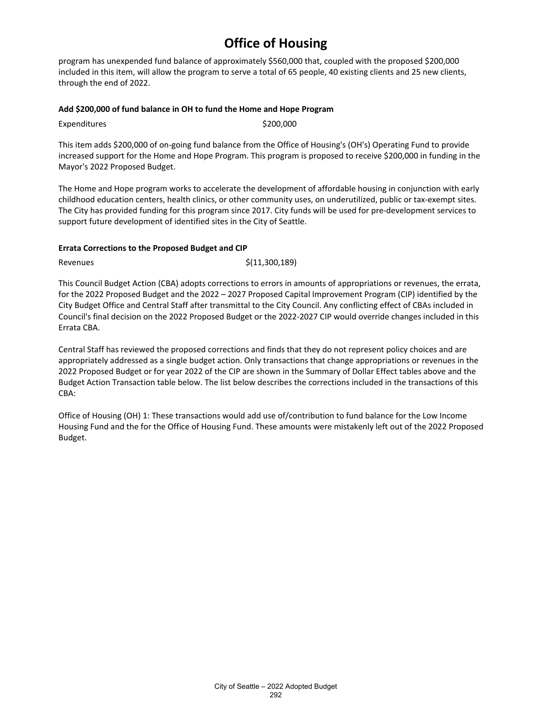program has unexpended fund balance of approximately \$560,000 that, coupled with the proposed \$200,000 included in this item, will allow the program to serve a total of 65 people, 40 existing clients and 25 new clients, through the end of 2022.

### **Add \$200,000 of fund balance in OH to fund the Home and Hope Program**

Expenditures \$200,000

This item adds \$200,000 of on-going fund balance from the Office of Housing's (OH's) Operating Fund to provide increased support for the Home and Hope Program. This program is proposed to receive \$200,000 in funding in the Mayor's 2022 Proposed Budget.

The Home and Hope program works to accelerate the development of affordable housing in conjunction with early childhood education centers, health clinics, or other community uses, on underutilized, public or tax-exempt sites. The City has provided funding for this program since 2017. City funds will be used for pre-development services to support future development of identified sites in the City of Seattle.

### **Errata Corrections to the Proposed Budget and CIP**

Revenues  $\zeta(11,300,189)$ 

This Council Budget Action (CBA) adopts corrections to errors in amounts of appropriations or revenues, the errata, for the 2022 Proposed Budget and the 2022 – 2027 Proposed Capital Improvement Program (CIP) identified by the City Budget Office and Central Staff after transmittal to the City Council. Any conflicting effect of CBAs included in Council's final decision on the 2022 Proposed Budget or the 2022-2027 CIP would override changes included in this Errata CBA.

Central Staff has reviewed the proposed corrections and finds that they do not represent policy choices and are appropriately addressed as a single budget action. Only transactions that change appropriations or revenues in the 2022 Proposed Budget or for year 2022 of the CIP are shown in the Summary of Dollar Effect tables above and the Budget Action Transaction table below. The list below describes the corrections included in the transactions of this CBA:

Office of Housing (OH) 1: These transactions would add use of/contribution to fund balance for the Low Income Housing Fund and the for the Office of Housing Fund. These amounts were mistakenly left out of the 2022 Proposed Budget.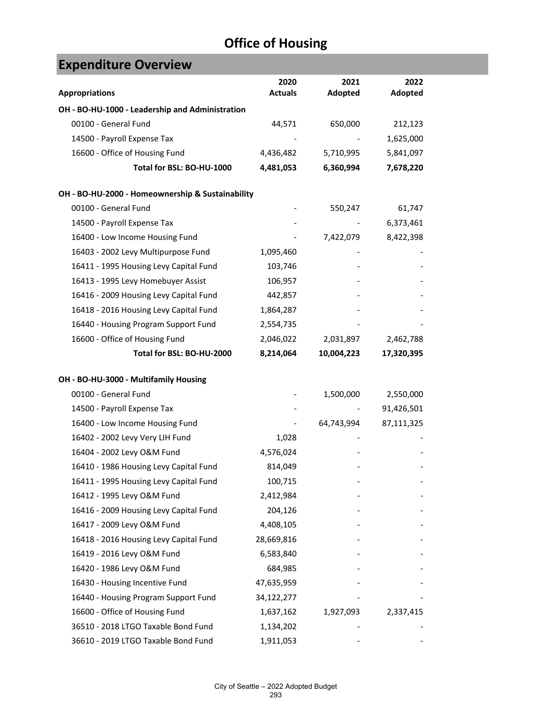| <b>Expenditure Overview</b>                      |                        |                 |                 |
|--------------------------------------------------|------------------------|-----------------|-----------------|
| <b>Appropriations</b>                            | 2020<br><b>Actuals</b> | 2021<br>Adopted | 2022<br>Adopted |
| OH - BO-HU-1000 - Leadership and Administration  |                        |                 |                 |
| 00100 - General Fund                             | 44,571                 | 650,000         | 212,123         |
| 14500 - Payroll Expense Tax                      |                        |                 | 1,625,000       |
| 16600 - Office of Housing Fund                   | 4,436,482              | 5,710,995       | 5,841,097       |
| Total for BSL: BO-HU-1000                        | 4,481,053              | 6,360,994       | 7,678,220       |
| OH - BO-HU-2000 - Homeownership & Sustainability |                        |                 |                 |
| 00100 - General Fund                             |                        | 550,247         | 61,747          |
| 14500 - Payroll Expense Tax                      |                        |                 | 6,373,461       |
| 16400 - Low Income Housing Fund                  |                        | 7,422,079       | 8,422,398       |
| 16403 - 2002 Levy Multipurpose Fund              | 1,095,460              |                 |                 |
| 16411 - 1995 Housing Levy Capital Fund           | 103,746                |                 |                 |
| 16413 - 1995 Levy Homebuyer Assist               | 106,957                |                 |                 |
| 16416 - 2009 Housing Levy Capital Fund           | 442,857                |                 |                 |
| 16418 - 2016 Housing Levy Capital Fund           | 1,864,287              |                 |                 |
| 16440 - Housing Program Support Fund             | 2,554,735              |                 |                 |
| 16600 - Office of Housing Fund                   | 2,046,022              | 2,031,897       | 2,462,788       |
| Total for BSL: BO-HU-2000                        | 8,214,064              | 10,004,223      | 17,320,395      |
| OH - BO-HU-3000 - Multifamily Housing            |                        |                 |                 |
| 00100 - General Fund                             |                        | 1,500,000       | 2,550,000       |
| 14500 - Payroll Expense Tax                      |                        |                 | 91,426,501      |
| 16400 - Low Income Housing Fund                  |                        | 64,743,994      | 87,111,325      |
| 16402 - 2002 Levy Very LIH Fund                  | 1,028                  |                 |                 |
| 16404 - 2002 Levy O&M Fund                       | 4,576,024              |                 |                 |
| 16410 - 1986 Housing Levy Capital Fund           | 814,049                |                 |                 |
| 16411 - 1995 Housing Levy Capital Fund           | 100,715                |                 |                 |
| 16412 - 1995 Levy O&M Fund                       | 2,412,984              |                 |                 |
| 16416 - 2009 Housing Levy Capital Fund           | 204,126                |                 |                 |
| 16417 - 2009 Levy O&M Fund                       | 4,408,105              |                 |                 |
| 16418 - 2016 Housing Levy Capital Fund           | 28,669,816             |                 |                 |
| 16419 - 2016 Levy O&M Fund                       | 6,583,840              |                 |                 |
| 16420 - 1986 Levy O&M Fund                       | 684,985                |                 |                 |
| 16430 - Housing Incentive Fund                   | 47,635,959             |                 |                 |
| 16440 - Housing Program Support Fund             | 34,122,277             |                 |                 |
| 16600 - Office of Housing Fund                   | 1,637,162              | 1,927,093       | 2,337,415       |
| 36510 - 2018 LTGO Taxable Bond Fund              | 1,134,202              |                 |                 |
| 36610 - 2019 LTGO Taxable Bond Fund              | 1,911,053              |                 |                 |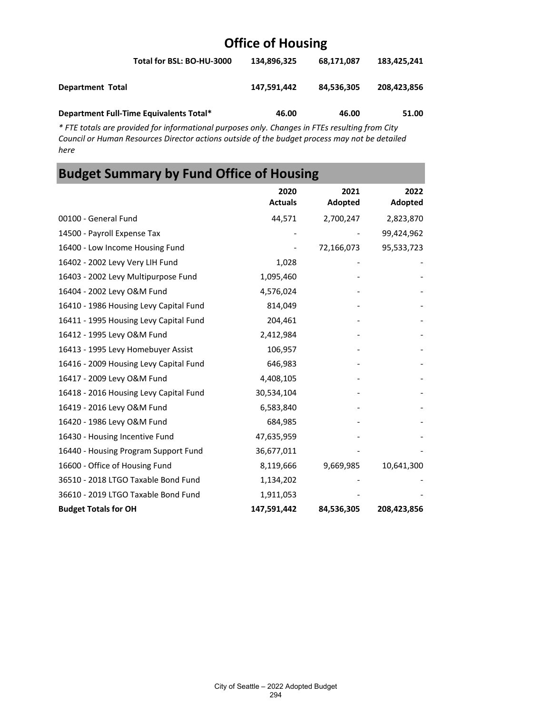|                                         | Total for BSL: BO-HU-3000 | 134.896.325 | 68.171.087 | 183.425.241 |
|-----------------------------------------|---------------------------|-------------|------------|-------------|
| <b>Department Total</b>                 |                           | 147.591.442 | 84,536,305 | 208,423,856 |
| Department Full-Time Equivalents Total* |                           | 46.00       | 46.00      | 51.00       |

*\* FTE totals are provided for informational purposes only. Changes in FTEs resulting from City Council or Human Resources Director actions outside of the budget process may not be detailed here*

## **Budget Summary by Fund Office of Housing**

|                                        | 2020<br><b>Actuals</b> | 2021<br>Adopted | 2022<br>Adopted |
|----------------------------------------|------------------------|-----------------|-----------------|
| 00100 - General Fund                   | 44,571                 | 2,700,247       | 2,823,870       |
| 14500 - Payroll Expense Tax            |                        |                 | 99,424,962      |
| 16400 - Low Income Housing Fund        |                        | 72,166,073      | 95,533,723      |
| 16402 - 2002 Levy Very LIH Fund        | 1,028                  |                 |                 |
| 16403 - 2002 Levy Multipurpose Fund    | 1,095,460              |                 |                 |
| 16404 - 2002 Levy O&M Fund             | 4,576,024              |                 |                 |
| 16410 - 1986 Housing Levy Capital Fund | 814,049                |                 |                 |
| 16411 - 1995 Housing Levy Capital Fund | 204,461                |                 |                 |
| 16412 - 1995 Levy O&M Fund             | 2,412,984              |                 |                 |
| 16413 - 1995 Levy Homebuyer Assist     | 106,957                |                 |                 |
| 16416 - 2009 Housing Levy Capital Fund | 646,983                |                 |                 |
| 16417 - 2009 Levy O&M Fund             | 4,408,105              |                 |                 |
| 16418 - 2016 Housing Levy Capital Fund | 30,534,104             |                 |                 |
| 16419 - 2016 Levy O&M Fund             | 6,583,840              |                 |                 |
| 16420 - 1986 Levy O&M Fund             | 684,985                |                 |                 |
| 16430 - Housing Incentive Fund         | 47,635,959             |                 |                 |
| 16440 - Housing Program Support Fund   | 36,677,011             |                 |                 |
| 16600 - Office of Housing Fund         | 8,119,666              | 9,669,985       | 10,641,300      |
| 36510 - 2018 LTGO Taxable Bond Fund    | 1,134,202              |                 |                 |
| 36610 - 2019 LTGO Taxable Bond Fund    | 1,911,053              |                 |                 |
| <b>Budget Totals for OH</b>            | 147,591,442            | 84,536,305      | 208,423,856     |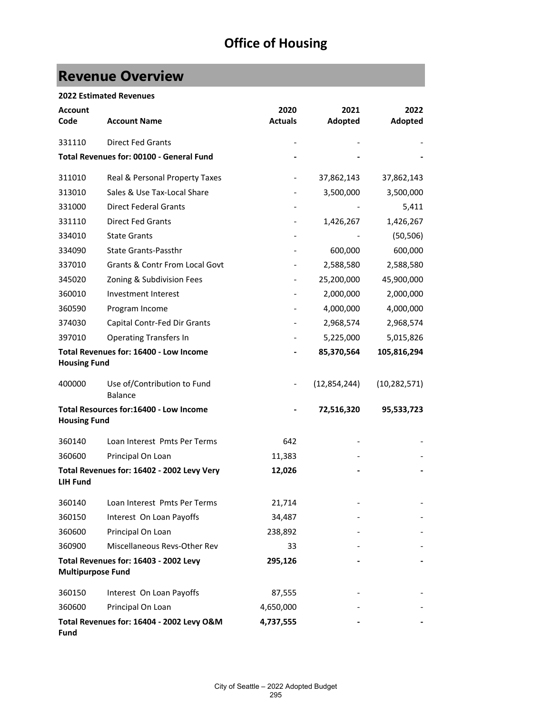## **Revenue Overview**

### **2022 Estimated Revenues**

| <b>Account</b><br>Code   | <b>Account Name</b>                           | 2020<br><b>Actuals</b> | 2021<br>Adopted | 2022<br>Adopted |
|--------------------------|-----------------------------------------------|------------------------|-----------------|-----------------|
| 331110                   | <b>Direct Fed Grants</b>                      |                        |                 |                 |
|                          | Total Revenues for: 00100 - General Fund      |                        |                 |                 |
| 311010                   | Real & Personal Property Taxes                |                        | 37,862,143      | 37,862,143      |
| 313010                   | Sales & Use Tax-Local Share                   |                        | 3,500,000       | 3,500,000       |
| 331000                   | <b>Direct Federal Grants</b>                  |                        |                 | 5,411           |
| 331110                   | <b>Direct Fed Grants</b>                      |                        | 1,426,267       | 1,426,267       |
| 334010                   | <b>State Grants</b>                           |                        |                 | (50, 506)       |
| 334090                   | <b>State Grants-Passthr</b>                   |                        | 600,000         | 600,000         |
| 337010                   | <b>Grants &amp; Contr From Local Govt</b>     |                        | 2,588,580       | 2,588,580       |
| 345020                   | Zoning & Subdivision Fees                     |                        | 25,200,000      | 45,900,000      |
| 360010                   | Investment Interest                           |                        | 2,000,000       | 2,000,000       |
| 360590                   | Program Income                                |                        | 4,000,000       | 4,000,000       |
| 374030                   | Capital Contr-Fed Dir Grants                  |                        | 2,968,574       | 2,968,574       |
| 397010                   | <b>Operating Transfers In</b>                 |                        | 5,225,000       | 5,015,826       |
| <b>Housing Fund</b>      | Total Revenues for: 16400 - Low Income        |                        | 85,370,564      | 105,816,294     |
| 400000                   | Use of/Contribution to Fund<br><b>Balance</b> |                        | (12,854,244)    | (10, 282, 571)  |
| <b>Housing Fund</b>      | Total Resources for:16400 - Low Income        |                        | 72,516,320      | 95,533,723      |
| 360140                   | Loan Interest Pmts Per Terms                  | 642                    |                 |                 |
| 360600                   | Principal On Loan                             | 11,383                 |                 |                 |
| <b>LIH Fund</b>          | Total Revenues for: 16402 - 2002 Levy Very    | 12,026                 |                 |                 |
| 360140                   | Loan Interest Pmts Per Terms                  | 21,714                 |                 |                 |
| 360150                   | Interest On Loan Payoffs                      | 34,487                 |                 |                 |
| 360600                   | Principal On Loan                             | 238,892                |                 |                 |
| 360900                   | Miscellaneous Revs-Other Rev                  | 33                     |                 |                 |
| <b>Multipurpose Fund</b> | Total Revenues for: 16403 - 2002 Levy         | 295,126                |                 |                 |
| 360150                   | Interest On Loan Payoffs                      | 87,555                 |                 |                 |
| 360600                   | Principal On Loan                             | 4,650,000              |                 |                 |
| <b>Fund</b>              | Total Revenues for: 16404 - 2002 Levy O&M     | 4,737,555              |                 |                 |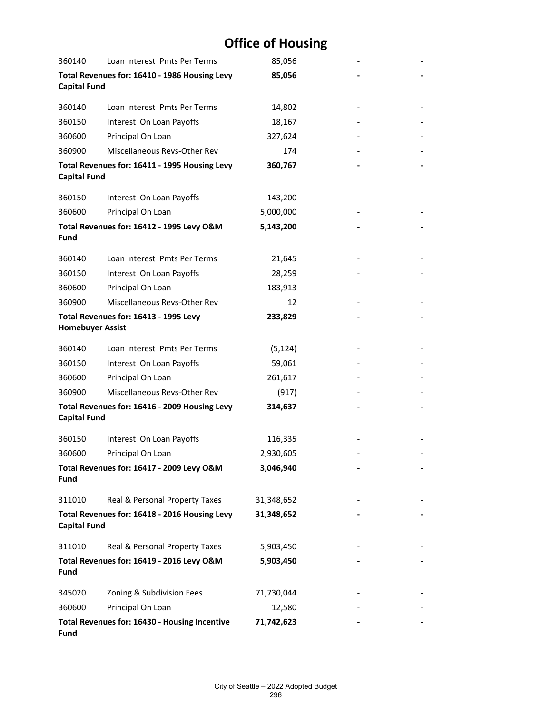| 360140                  | Loan Interest Pmts Per Terms                  | 85,056     |  |
|-------------------------|-----------------------------------------------|------------|--|
| <b>Capital Fund</b>     | Total Revenues for: 16410 - 1986 Housing Levy | 85,056     |  |
| 360140                  | Loan Interest Pmts Per Terms                  | 14,802     |  |
| 360150                  | Interest On Loan Payoffs                      | 18,167     |  |
| 360600                  | Principal On Loan                             | 327,624    |  |
| 360900                  | Miscellaneous Revs-Other Rev                  | 174        |  |
| <b>Capital Fund</b>     | Total Revenues for: 16411 - 1995 Housing Levy | 360,767    |  |
| 360150                  | Interest On Loan Payoffs                      | 143,200    |  |
| 360600                  | Principal On Loan                             | 5,000,000  |  |
| Fund                    | Total Revenues for: 16412 - 1995 Levy O&M     | 5,143,200  |  |
| 360140                  | Loan Interest Pmts Per Terms                  | 21,645     |  |
| 360150                  | Interest On Loan Payoffs                      | 28,259     |  |
| 360600                  | Principal On Loan                             | 183,913    |  |
| 360900                  | Miscellaneous Revs-Other Rev                  | 12         |  |
| <b>Homebuyer Assist</b> | Total Revenues for: 16413 - 1995 Levy         | 233,829    |  |
| 360140                  | Loan Interest Pmts Per Terms                  | (5, 124)   |  |
| 360150                  | Interest On Loan Payoffs                      | 59,061     |  |
| 360600                  | Principal On Loan                             | 261,617    |  |
| 360900                  | Miscellaneous Revs-Other Rev                  | (917)      |  |
| <b>Capital Fund</b>     | Total Revenues for: 16416 - 2009 Housing Levy | 314,637    |  |
| 360150                  | Interest On Loan Payoffs                      | 116,335    |  |
| 360600                  | Principal On Loan                             | 2,930,605  |  |
| <b>Fund</b>             | Total Revenues for: 16417 - 2009 Levy O&M     | 3,046,940  |  |
| 311010                  | Real & Personal Property Taxes                | 31,348,652 |  |
| <b>Capital Fund</b>     | Total Revenues for: 16418 - 2016 Housing Levy | 31,348,652 |  |
| 311010                  | Real & Personal Property Taxes                | 5,903,450  |  |
| <b>Fund</b>             | Total Revenues for: 16419 - 2016 Levy O&M     | 5,903,450  |  |
| 345020                  | Zoning & Subdivision Fees                     | 71,730,044 |  |
| 360600                  | Principal On Loan                             | 12,580     |  |
| <b>Fund</b>             | Total Revenues for: 16430 - Housing Incentive | 71,742,623 |  |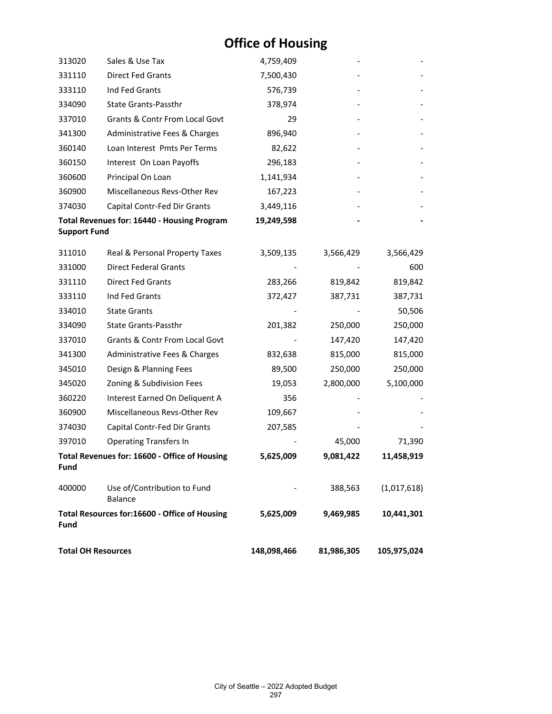| 313020                    | Sales & Use Tax                               | 4,759,409   |            |             |
|---------------------------|-----------------------------------------------|-------------|------------|-------------|
| 331110                    | <b>Direct Fed Grants</b>                      | 7,500,430   |            |             |
| 333110                    | Ind Fed Grants                                | 576,739     |            |             |
| 334090                    | State Grants-Passthr                          | 378,974     |            |             |
| 337010                    | Grants & Contr From Local Govt                | 29          |            |             |
| 341300                    | Administrative Fees & Charges                 | 896,940     |            |             |
| 360140                    | Loan Interest Pmts Per Terms                  | 82,622      |            |             |
| 360150                    | Interest On Loan Payoffs                      | 296,183     |            |             |
| 360600                    | Principal On Loan                             | 1,141,934   |            |             |
| 360900                    | Miscellaneous Revs-Other Rev                  | 167,223     |            |             |
| 374030                    | Capital Contr-Fed Dir Grants                  | 3,449,116   |            |             |
|                           | Total Revenues for: 16440 - Housing Program   | 19,249,598  |            |             |
| <b>Support Fund</b>       |                                               |             |            |             |
| 311010                    | Real & Personal Property Taxes                | 3,509,135   | 3,566,429  | 3,566,429   |
| 331000                    | <b>Direct Federal Grants</b>                  |             |            | 600         |
| 331110                    | <b>Direct Fed Grants</b>                      | 283,266     | 819,842    | 819,842     |
| 333110                    | Ind Fed Grants                                | 372,427     | 387,731    | 387,731     |
| 334010                    | <b>State Grants</b>                           |             |            | 50,506      |
| 334090                    | State Grants-Passthr                          | 201,382     | 250,000    | 250,000     |
| 337010                    | Grants & Contr From Local Govt                |             | 147,420    | 147,420     |
| 341300                    | Administrative Fees & Charges                 | 832,638     | 815,000    | 815,000     |
| 345010                    | Design & Planning Fees                        | 89,500      | 250,000    | 250,000     |
| 345020                    | Zoning & Subdivision Fees                     | 19,053      | 2,800,000  | 5,100,000   |
| 360220                    | Interest Earned On Deliquent A                | 356         |            |             |
| 360900                    | Miscellaneous Revs-Other Rev                  | 109,667     |            |             |
| 374030                    | Capital Contr-Fed Dir Grants                  | 207,585     |            |             |
| 397010                    | <b>Operating Transfers In</b>                 |             | 45,000     | 71,390      |
| Fund                      | Total Revenues for: 16600 - Office of Housing | 5,625,009   | 9,081,422  | 11,458,919  |
| 400000                    | Use of/Contribution to Fund<br><b>Balance</b> |             | 388,563    | (1,017,618) |
| Fund                      | Total Resources for:16600 - Office of Housing | 5,625,009   | 9,469,985  | 10,441,301  |
| <b>Total OH Resources</b> |                                               | 148,098,466 | 81,986,305 | 105,975,024 |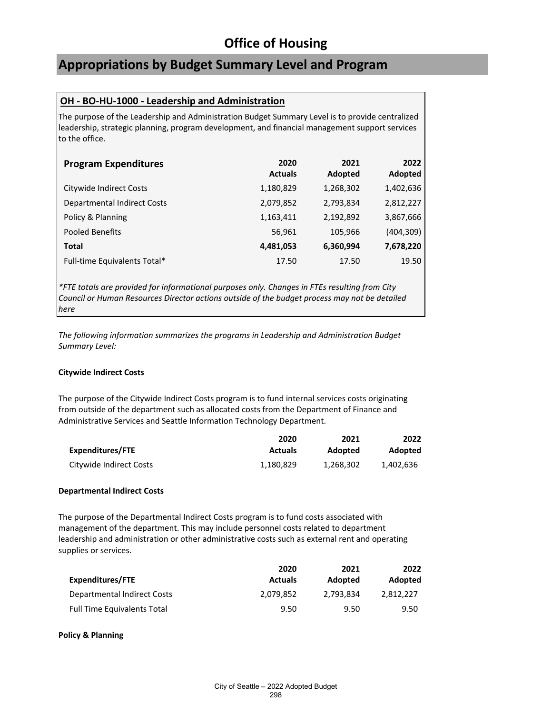### **Appropriations by Budget Summary Level and Program**

### **OH - BO-HU-1000 - Leadership and Administration**

The purpose of the Leadership and Administration Budget Summary Level is to provide centralized leadership, strategic planning, program development, and financial management support services to the office.

| <b>Program Expenditures</b>        | 2020<br><b>Actuals</b> | 2021<br>Adopted | 2022<br>Adopted |
|------------------------------------|------------------------|-----------------|-----------------|
| Citywide Indirect Costs            | 1,180,829              | 1,268,302       | 1,402,636       |
| <b>Departmental Indirect Costs</b> | 2,079,852              | 2,793,834       | 2,812,227       |
| Policy & Planning                  | 1,163,411              | 2,192,892       | 3,867,666       |
| Pooled Benefits                    | 56,961                 | 105,966         | (404, 309)      |
| <b>Total</b>                       | 4,481,053              | 6,360,994       | 7,678,220       |
| Full-time Equivalents Total*       | 17.50                  | 17.50           | 19.50           |

*\*FTE totals are provided for informational purposes only. Changes in FTEs resulting from City Council or Human Resources Director actions outside of the budget process may not be detailed here*

*The following information summarizes the programs in Leadership and Administration Budget Summary Level:*

### **Citywide Indirect Costs**

The purpose of the Citywide Indirect Costs program is to fund internal services costs originating from outside of the department such as allocated costs from the Department of Finance and Administrative Services and Seattle Information Technology Department.

|                         | 2020           | 2021      | 2022           |
|-------------------------|----------------|-----------|----------------|
| Expenditures/FTE        | <b>Actuals</b> | Adopted   | <b>Adopted</b> |
| Citywide Indirect Costs | 1.180.829      | 1.268.302 | 1.402.636      |

### **Departmental Indirect Costs**

The purpose of the Departmental Indirect Costs program is to fund costs associated with management of the department. This may include personnel costs related to department leadership and administration or other administrative costs such as external rent and operating supplies or services.

|                                    | 2020           | 2021           | 2022      |
|------------------------------------|----------------|----------------|-----------|
| Expenditures/FTE                   | <b>Actuals</b> | <b>Adopted</b> | Adopted   |
| Departmental Indirect Costs        | 2.079.852      | 2.793.834      | 2.812.227 |
| <b>Full Time Equivalents Total</b> | 9.50           | 9.50           | 9.50      |

#### **Policy & Planning**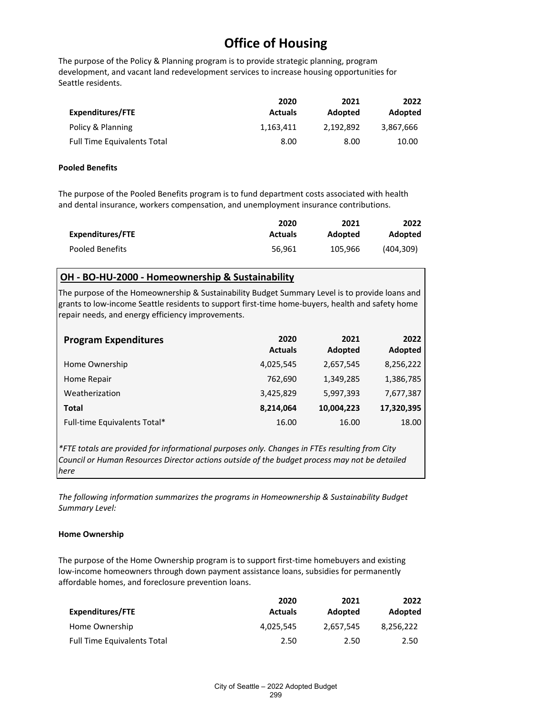The purpose of the Policy & Planning program is to provide strategic planning, program development, and vacant land redevelopment services to increase housing opportunities for Seattle residents.

|                                    | 2020           | 2021      | 2022      |
|------------------------------------|----------------|-----------|-----------|
| <b>Expenditures/FTE</b>            | <b>Actuals</b> | Adopted   | Adopted   |
| Policy & Planning                  | 1.163.411      | 2.192.892 | 3.867.666 |
| <b>Full Time Equivalents Total</b> | 8.00           | 8.00      | 10.00     |

#### **Pooled Benefits**

The purpose of the Pooled Benefits program is to fund department costs associated with health and dental insurance, workers compensation, and unemployment insurance contributions.

|                  | 2020           | 2021    | 2022      |
|------------------|----------------|---------|-----------|
| Expenditures/FTE | <b>Actuals</b> | Adopted | Adopted   |
| Pooled Benefits  | 56.961         | 105.966 | (404.309) |

### **OH - BO-HU-2000 - Homeownership & Sustainability**

The purpose of the Homeownership & Sustainability Budget Summary Level is to provide loans and grants to low-income Seattle residents to support first-time home-buyers, health and safety home repair needs, and energy efficiency improvements.

| <b>Program Expenditures</b>  | 2020<br><b>Actuals</b> | 2021<br>Adopted | 2022<br>Adopted |
|------------------------------|------------------------|-----------------|-----------------|
| Home Ownership               | 4,025,545              | 2,657,545       | 8,256,222       |
| Home Repair                  | 762,690                | 1,349,285       | 1,386,785       |
| Weatherization               | 3,425,829              | 5,997,393       | 7,677,387       |
| <b>Total</b>                 | 8,214,064              | 10,004,223      | 17,320,395      |
| Full-time Equivalents Total* | 16.00                  | 16.00           | 18.00           |

*\*FTE totals are provided for informational purposes only. Changes in FTEs resulting from City Council or Human Resources Director actions outside of the budget process may not be detailed here*

*The following information summarizes the programs in Homeownership & Sustainability Budget Summary Level:*

### **Home Ownership**

The purpose of the Home Ownership program is to support first-time homebuyers and existing low-income homeowners through down payment assistance loans, subsidies for permanently affordable homes, and foreclosure prevention loans.

|                                    | 2020           | 2021      | 2022      |
|------------------------------------|----------------|-----------|-----------|
| Expenditures/FTE                   | <b>Actuals</b> | Adopted   | Adopted   |
| Home Ownership                     | 4.025.545      | 2,657,545 | 8.256.222 |
| <b>Full Time Equivalents Total</b> | 2.50           | 2.50      | 2.50      |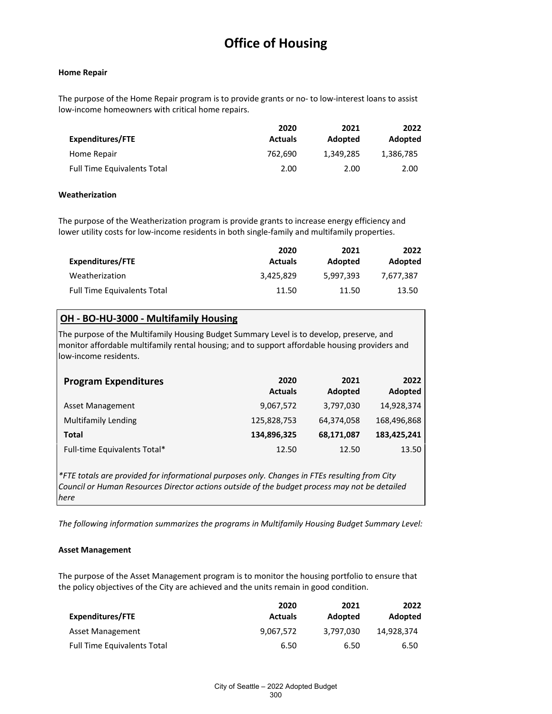#### **Home Repair**

The purpose of the Home Repair program is to provide grants or no- to low-interest loans to assist low-income homeowners with critical home repairs.

|                                    | 2020           | 2021      | 2022      |
|------------------------------------|----------------|-----------|-----------|
| Expenditures/FTE                   | <b>Actuals</b> | Adopted   | Adopted   |
| Home Repair                        | 762.690        | 1,349,285 | 1,386,785 |
| <b>Full Time Equivalents Total</b> | 2.00           | 2.00      | 2.00      |

#### **Weatherization**

The purpose of the Weatherization program is provide grants to increase energy efficiency and lower utility costs for low-income residents in both single-family and multifamily properties.

|                                    | 2020           | 2021      | 2022      |
|------------------------------------|----------------|-----------|-----------|
| Expenditures/FTE                   | <b>Actuals</b> | Adopted   | Adopted   |
| Weatherization                     | 3.425.829      | 5.997.393 | 7.677.387 |
| <b>Full Time Equivalents Total</b> | 11.50          | 11.50     | 13.50     |

### **OH - BO-HU-3000 - Multifamily Housing**

The purpose of the Multifamily Housing Budget Summary Level is to develop, preserve, and monitor affordable multifamily rental housing; and to support affordable housing providers and low-income residents.

| <b>Program Expenditures</b>  | 2020<br><b>Actuals</b> | 2021<br>Adopted | 2022<br>Adopted |
|------------------------------|------------------------|-----------------|-----------------|
| Asset Management             | 9,067,572              | 3,797,030       | 14,928,374      |
| <b>Multifamily Lending</b>   | 125,828,753            | 64,374,058      | 168,496,868     |
| Total                        | 134,896,325            | 68,171,087      | 183,425,241     |
| Full-time Equivalents Total* | 12.50                  | 12.50           | 13.50           |

*\*FTE totals are provided for informational purposes only. Changes in FTEs resulting from City Council or Human Resources Director actions outside of the budget process may not be detailed here*

*The following information summarizes the programs in Multifamily Housing Budget Summary Level:*

### **Asset Management**

The purpose of the Asset Management program is to monitor the housing portfolio to ensure that the policy objectives of the City are achieved and the units remain in good condition.

|                                    | 2020           | 2021      | 2022       |
|------------------------------------|----------------|-----------|------------|
| Expenditures/FTE                   | <b>Actuals</b> | Adopted   | Adopted    |
| Asset Management                   | 9.067.572      | 3.797.030 | 14.928.374 |
| <b>Full Time Equivalents Total</b> | 6.50           | 6.50      | 6.50       |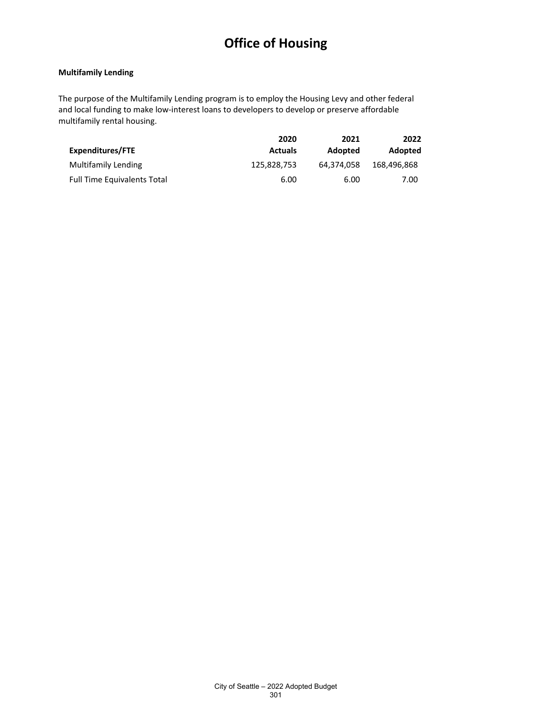#### **Multifamily Lending**

The purpose of the Multifamily Lending program is to employ the Housing Levy and other federal and local funding to make low-interest loans to developers to develop or preserve affordable multifamily rental housing.

|                                    | 2020           | 2021       | 2022        |
|------------------------------------|----------------|------------|-------------|
| Expenditures/FTE                   | <b>Actuals</b> | Adopted    | Adopted     |
| Multifamily Lending                | 125,828,753    | 64.374.058 | 168,496,868 |
| <b>Full Time Equivalents Total</b> | 6.00           | 6.00       | 7.00        |